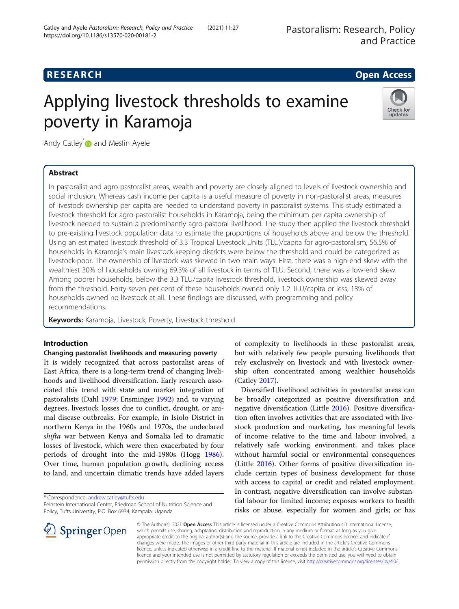# **RESEARCH CHE Open Access**

# Applying livestock thresholds to examine poverty in Karamoja



Andy Catley<sup>[\\*](http://orcid.org/0000-0001-6411-1525)</sup> and Mesfin Ayele

# Abstract

In pastoralist and agro-pastoralist areas, wealth and poverty are closely aligned to levels of livestock ownership and social inclusion. Whereas cash income per capita is a useful measure of poverty in non-pastoralist areas, measures of livestock ownership per capita are needed to understand poverty in pastoralist systems. This study estimated a livestock threshold for agro-pastoralist households in Karamoja, being the minimum per capita ownership of livestock needed to sustain a predominantly agro-pastoral livelihood. The study then applied the livestock threshold to pre-existing livestock population data to estimate the proportions of households above and below the threshold. Using an estimated livestock threshold of 3.3 Tropical Livestock Units (TLU)/capita for agro-pastoralism, 56.5% of households in Karamoja's main livestock-keeping districts were below the threshold and could be categorized as livestock-poor. The ownership of livestock was skewed in two main ways. First, there was a high-end skew with the wealthiest 30% of households owning 69.3% of all livestock in terms of TLU. Second, there was a low-end skew. Among poorer households, below the 3.3 TLU/capita livestock threshold, livestock ownership was skewed away from the threshold. Forty-seven per cent of these households owned only 1.2 TLU/capita or less; 13% of households owned no livestock at all. These findings are discussed, with programming and policy recommendations.

Keywords: Karamoja, Livestock, Poverty, Livestock threshold

# Introduction

# Changing pastoralist livelihoods and measuring poverty

It is widely recognized that across pastoralist areas of East Africa, there is a long-term trend of changing livelihoods and livelihood diversification. Early research associated this trend with state and market integration of pastoralists (Dahl [1979;](#page-10-0) Ensminger [1992\)](#page-10-0) and, to varying degrees, livestock losses due to conflict, drought, or animal disease outbreaks. For example, in Isiolo District in northern Kenya in the 1960s and 1970s, the undeclared shifta war between Kenya and Somalia led to dramatic losses of livestock, which were then exacerbated by four periods of drought into the mid-1980s (Hogg [1986](#page-10-0)). Over time, human population growth, declining access to land, and uncertain climatic trends have added layers

\* Correspondence: [andrew.catley@tufts.edu](mailto:andrew.catley@tufts.edu)

 $\perp$  Springer Open



Diversified livelihood activities in pastoralist areas can be broadly categorized as positive diversification and negative diversification (Little [2016](#page-11-0)). Positive diversification often involves activities that are associated with livestock production and marketing, has meaningful levels of income relative to the time and labour involved, a relatively safe working environment, and takes place without harmful social or environmental consequences (Little [2016\)](#page-11-0). Other forms of positive diversification include certain types of business development for those with access to capital or credit and related employment. In contrast, negative diversification can involve substantial labour for limited income; exposes workers to health risks or abuse, especially for women and girls; or has

© The Author(s). 2021 Open Access This article is licensed under a Creative Commons Attribution 4.0 International License, which permits use, sharing, adaptation, distribution and reproduction in any medium or format, as long as you give appropriate credit to the original author(s) and the source, provide a link to the Creative Commons licence, and indicate if changes were made. The images or other third party material in this article are included in the article's Creative Commons licence, unless indicated otherwise in a credit line to the material. If material is not included in the article's Creative Commons licence and your intended use is not permitted by statutory regulation or exceeds the permitted use, you will need to obtain permission directly from the copyright holder. To view a copy of this licence, visit <http://creativecommons.org/licenses/by/4.0/>.

Feinstein International Center, Friedman School of Nutrition Science and Policy, Tufts University, P.O. Box 6934, Kampala, Uganda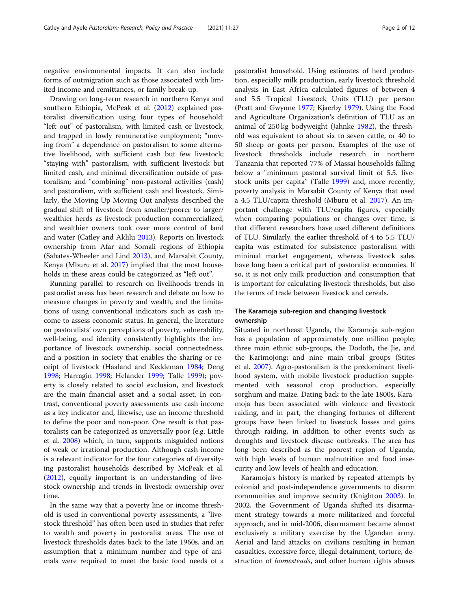negative environmental impacts. It can also include forms of outmigration such as those associated with limited income and remittances, or family break-up.

Drawing on long-term research in northern Kenya and southern Ethiopia, McPeak et al. [\(2012\)](#page-11-0) explained pastoralist diversification using four types of household: "left out" of pastoralism, with limited cash or livestock, and trapped in lowly remunerative employment; "moving from" a dependence on pastoralism to some alternative livelihood, with sufficient cash but few livestock; "staying with" pastoralism, with sufficient livestock but limited cash, and minimal diversification outside of pastoralism; and "combining" non-pastoral activities (cash) and pastoralism, with sufficient cash and livestock. Similarly, the Moving Up Moving Out analysis described the gradual shift of livestock from smaller/poorer to larger/ wealthier herds as livestock production commercialized, and wealthier owners took over more control of land and water (Catley and Aklilu [2013](#page-10-0)). Reports on livestock ownership from Afar and Somali regions of Ethiopia (Sabates-Wheeler and Lind [2013\)](#page-11-0), and Marsabit County, Kenya (Mburu et al. [2017](#page-11-0)) implied that the most households in these areas could be categorized as "left out".

Running parallel to research on livelihoods trends in pastoralist areas has been research and debate on how to measure changes in poverty and wealth, and the limitations of using conventional indicators such as cash income to assess economic status. In general, the literature on pastoralists' own perceptions of poverty, vulnerability, well-being, and identity consistently highlights the importance of livestock ownership, social connectedness, and a position in society that enables the sharing or receipt of livestock (Haaland and Keddeman [1984](#page-10-0); Deng [1998](#page-10-0); Harragin [1998](#page-10-0); Helander [1999](#page-10-0); Talle [1999](#page-11-0)); poverty is closely related to social exclusion, and livestock are the main financial asset and a social asset. In contrast, conventional poverty assessments use cash income as a key indicator and, likewise, use an income threshold to define the poor and non-poor. One result is that pastoralists can be categorized as universally poor (e.g. Little et al. [2008](#page-11-0)) which, in turn, supports misguided notions of weak or irrational production. Although cash income is a relevant indicator for the four categories of diversifying pastoralist households described by McPeak et al. ([2012](#page-11-0)), equally important is an understanding of livestock ownership and trends in livestock ownership over time.

In the same way that a poverty line or income threshold is used in conventional poverty assessments, a "livestock threshold" has often been used in studies that refer to wealth and poverty in pastoralist areas. The use of livestock thresholds dates back to the late 1960s, and an assumption that a minimum number and type of animals were required to meet the basic food needs of a

pastoralist household. Using estimates of herd production, especially milk production, early livestock threshold analysis in East Africa calculated figures of between 4 and 5.5 Tropical Livestock Units (TLU) per person (Pratt and Gwynne [1977](#page-11-0); Kjaerby [1979](#page-10-0)). Using the Food and Agriculture Organization's definition of TLU as an animal of 250 kg bodyweight (Jahnke [1982](#page-10-0)), the threshold was equivalent to about six to seven cattle, or 40 to 50 sheep or goats per person. Examples of the use of livestock thresholds include research in northern Tanzania that reported 77% of Massai households falling below a "minimum pastoral survival limit of 5.5. livestock units per capita" (Talle [1999](#page-11-0)) and, more recently, poverty analysis in Marsabit County of Kenya that used a 4.5 TLU/capita threshold (Mburu et al. [2017](#page-11-0)). An important challenge with TLU/capita figures, especially when comparing populations or changes over time, is that different researchers have used different definitions of TLU. Similarly, the earlier threshold of 4 to 5.5 TLU/ capita was estimated for subsistence pastoralism with minimal market engagement, whereas livestock sales have long been a critical part of pastoralist economies. If so, it is not only milk production and consumption that is important for calculating livestock thresholds, but also the terms of trade between livestock and cereals.

# The Karamoja sub-region and changing livestock ownership

Situated in northeast Uganda, the Karamoja sub-region has a population of approximately one million people; three main ethnic sub-groups, the Dodoth, the Jie, and the Karimojong; and nine main tribal groups (Stites et al. [2007\)](#page-11-0). Agro-pastoralism is the predominant livelihood system, with mobile livestock production supplemented with seasonal crop production, especially sorghum and maize. Dating back to the late 1800s, Karamoja has been associated with violence and livestock raiding, and in part, the changing fortunes of different groups have been linked to livestock losses and gains through raiding, in addition to other events such as droughts and livestock disease outbreaks. The area has long been described as the poorest region of Uganda, with high levels of human malnutrition and food insecurity and low levels of health and education.

Karamoja's history is marked by repeated attempts by colonial and post-independence governments to disarm communities and improve security (Knighton [2003](#page-10-0)). In 2002, the Government of Uganda shifted its disarmament strategy towards a more militarized and forceful approach, and in mid-2006, disarmament became almost exclusively a military exercise by the Ugandan army. Aerial and land attacks on civilians resulting in human casualties, excessive force, illegal detainment, torture, destruction of *homesteads*, and other human rights abuses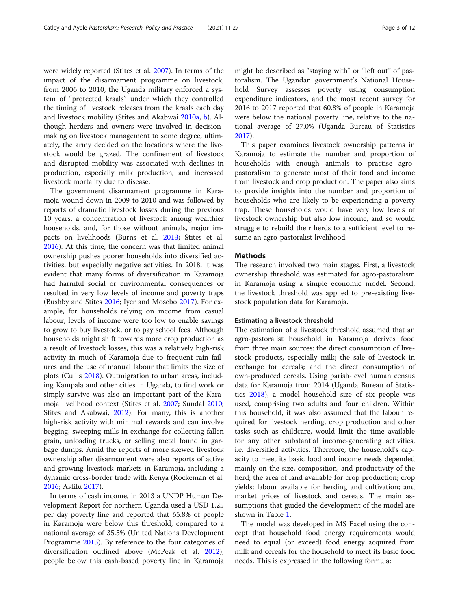<span id="page-2-0"></span>were widely reported (Stites et al. [2007\)](#page-11-0). In terms of the impact of the disarmament programme on livestock, from 2006 to 2010, the Uganda military enforced a system of "protected kraals" under which they controlled the timing of livestock releases from the kraals each day and livestock mobility (Stites and Akabwai [2010a,](#page-11-0) [b](#page-11-0)). Although herders and owners were involved in decisionmaking on livestock management to some degree, ultimately, the army decided on the locations where the livestock would be grazed. The confinement of livestock and disrupted mobility was associated with declines in production, especially milk production, and increased livestock mortality due to disease.

The government disarmament programme in Karamoja wound down in 2009 to 2010 and was followed by reports of dramatic livestock losses during the previous 10 years, a concentration of livestock among wealthier households, and, for those without animals, major impacts on livelihoods (Burns et al. [2013;](#page-10-0) Stites et al. [2016](#page-11-0)). At this time, the concern was that limited animal ownership pushes poorer households into diversified activities, but especially negative activities. In 2018, it was evident that many forms of diversification in Karamoja had harmful social or environmental consequences or resulted in very low levels of income and poverty traps (Bushby and Stites [2016](#page-10-0); Iyer and Mosebo [2017\)](#page-10-0). For example, for households relying on income from casual labour, levels of income were too low to enable savings to grow to buy livestock, or to pay school fees. Although households might shift towards more crop production as a result of livestock losses, this was a relatively high-risk activity in much of Karamoja due to frequent rain failures and the use of manual labour that limits the size of plots (Cullis [2018](#page-10-0)). Outmigration to urban areas, including Kampala and other cities in Uganda, to find work or simply survive was also an important part of the Karamoja livelihood context (Stites et al. [2007](#page-11-0); Sundal [2010](#page-11-0); Stites and Akabwai, [2012](#page-11-0)). For many, this is another high-risk activity with minimal rewards and can involve begging, sweeping mills in exchange for collecting fallen grain, unloading trucks, or selling metal found in garbage dumps. Amid the reports of more skewed livestock ownership after disarmament were also reports of active and growing livestock markets in Karamoja, including a dynamic cross-border trade with Kenya (Rockeman et al. [2016](#page-11-0); Aklilu [2017\)](#page-10-0).

In terms of cash income, in 2013 a UNDP Human Development Report for northern Uganda used a USD 1.25 per day poverty line and reported that 65.8% of people in Karamoja were below this threshold, compared to a national average of 35.5% (United Nations Development Programme [2015\)](#page-11-0). By reference to the four categories of diversification outlined above (McPeak et al. [2012](#page-11-0)), people below this cash-based poverty line in Karamoja

might be described as "staying with" or "left out" of pastoralism. The Ugandan government's National Household Survey assesses poverty using consumption expenditure indicators, and the most recent survey for 2016 to 2017 reported that 60.8% of people in Karamoja were below the national poverty line, relative to the national average of 27.0% (Uganda Bureau of Statistics [2017](#page-11-0)).

This paper examines livestock ownership patterns in Karamoja to estimate the number and proportion of households with enough animals to practise agropastoralism to generate most of their food and income from livestock and crop production. The paper also aims to provide insights into the number and proportion of households who are likely to be experiencing a poverty trap. These households would have very low levels of livestock ownership but also low income, and so would struggle to rebuild their herds to a sufficient level to resume an agro-pastoralist livelihood.

# **Methods**

The research involved two main stages. First, a livestock ownership threshold was estimated for agro-pastoralism in Karamoja using a simple economic model. Second, the livestock threshold was applied to pre-existing livestock population data for Karamoja.

## Estimating a livestock threshold

The estimation of a livestock threshold assumed that an agro-pastoralist household in Karamoja derives food from three main sources: the direct consumption of livestock products, especially milk; the sale of livestock in exchange for cereals; and the direct consumption of own-produced cereals. Using parish-level human census data for Karamoja from 2014 (Uganda Bureau of Statistics [2018\)](#page-11-0), a model household size of six people was used, comprising two adults and four children. Within this household, it was also assumed that the labour required for livestock herding, crop production and other tasks such as childcare, would limit the time available for any other substantial income-generating activities, i.e. diversified activities. Therefore, the household's capacity to meet its basic food and income needs depended mainly on the size, composition, and productivity of the herd; the area of land available for crop production; crop yields; labour available for herding and cultivation; and market prices of livestock and cereals. The main assumptions that guided the development of the model are shown in Table [1.](#page-3-0)

The model was developed in MS Excel using the concept that household food energy requirements would need to equal (or exceed) food energy acquired from milk and cereals for the household to meet its basic food needs. This is expressed in the following formula: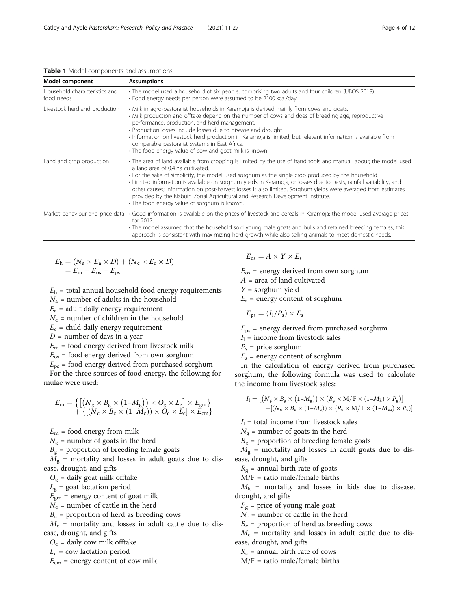<span id="page-3-0"></span>Table 1 Model components and assumptions

| Model component                             | <b>Assumptions</b>                                                                                                                                                                                                                                                                                                                                                                                                                                                                                                                                                                                                                   |  |
|---------------------------------------------|--------------------------------------------------------------------------------------------------------------------------------------------------------------------------------------------------------------------------------------------------------------------------------------------------------------------------------------------------------------------------------------------------------------------------------------------------------------------------------------------------------------------------------------------------------------------------------------------------------------------------------------|--|
| Household characteristics and<br>food needs | • The model used a household of six people, comprising two adults and four children (UBOS 2018).<br>• Food energy needs per person were assumed to be 2100 kcal/day.                                                                                                                                                                                                                                                                                                                                                                                                                                                                 |  |
| Livestock herd and production               | • Milk in agro-pastoralist households in Karamoja is derived mainly from cows and goats.<br>• Milk production and offtake depend on the number of cows and does of breeding age, reproductive<br>performance, production, and herd management.<br>• Production losses include losses due to disease and drought.<br>· Information on livestock herd production in Karamoja is limited, but relevant information is available from<br>comparable pastoralist systems in East Africa.<br>• The food energy value of cow and goat milk is known.                                                                                        |  |
| Land and crop production                    | • The area of land available from cropping is limited by the use of hand tools and manual labour; the model used<br>a land area of 0.4 ha cultivated.<br>• For the sake of simplicity, the model used sorghum as the single crop produced by the household.<br>· Limited information is available on sorghum yields in Karamoja, or losses due to pests, rainfall variability, and<br>other causes; information on post-harvest losses is also limited. Sorghum yields were averaged from estimates<br>provided by the Nabuin Zonal Agricultural and Research Development Institute.<br>• The food energy value of sorghum is known. |  |
|                                             | Market behaviour and price data • Good information is available on the prices of livestock and cereals in Karamoja; the model used average prices<br>for 2017.<br>• The model assumed that the household sold young male goats and bulls and retained breeding females; this<br>approach is consistent with maximizing herd growth while also selling animals to meet domestic needs.                                                                                                                                                                                                                                                |  |

$$
E_h = (N_a \times E_a \times D) + (N_c \times E_c \times D)
$$
  
=  $E_m + E_{os} + E_{ps}$ 

 $E<sub>h</sub>$  = total annual household food energy requirements

 $N_a$  = number of adults in the household

 $E_a$  = adult daily energy requirement

 $N_c$  = number of children in the household

 $E_c$  = child daily energy requirement

 $D =$  number of days in a year

 $E_m$  = food energy derived from livestock milk

 $E_{\rm os}$  = food energy derived from own sorghum

 $E_{\text{ps}}$  = food energy derived from purchased sorghum

For the three sources of food energy, the following formulae were used:

$$
E_{\rm m} = \left\{ \left[ \left( N_{\rm g} \times B_{\rm g} \times (1 - M_{\rm g}) \right) \times O_{\rm g} \times L_{\rm g} \right] \times E_{\rm gm} \right\} + \left\{ \left[ \left( N_{\rm c} \times B_{\rm c} \times (1 - M_{\rm c}) \right) \times O_{\rm c} \times L_{\rm c} \right] \times E_{\rm cm} \right\}
$$

 $E_m$  = food energy from milk

 $N_{\rm g}$  = number of goats in the herd

 $B_{\sigma}$  = proportion of breeding female goats

 $M_{\rm g}$  = mortality and losses in adult goats due to disease, drought, and gifts

 $O<sub>g</sub>$  = daily goat milk offtake

 $L_{\rm g}$  = goat lactation period

 $E_{\text{gm}}$  = energy content of goat milk

 $N_c$  = number of cattle in the herd

 $B_c$  = proportion of herd as breeding cows

 $M_c$  = mortality and losses in adult cattle due to disease, drought, and gifts

 $O_c$  = daily cow milk offtake

 $L_c$  = cow lactation period

 $E_{\text{cm}}$  = energy content of cow milk

$$
E_{\rm os} = A \times Y \times E_{\rm s}
$$

 $E_{\rm os}$  = energy derived from own sorghum

- $A =$  area of land cultivated
- $Y =$  sorghum yield

 $E<sub>s</sub>$  = energy content of sorghum

$$
E_{\rm ps} = (I_{\rm l}/P_{\rm s}) \times E_{\rm s}
$$

 $E_{\text{ps}}$  = energy derived from purchased sorghum

 $I_1$  = income from livestock sales

 $P_s$  = price sorghum

 $E<sub>s</sub>$  = energy content of sorghum

In the calculation of energy derived from purchased sorghum, the following formula was used to calculate the income from livestock sales:

$$
I_1 = \left[ \left( N_{\rm g} \times B_{\rm g} \times \left( 1 - M_{\rm g} \right) \right) \times \left( R_{\rm g} \times M / \rm{F} \times \left( 1 - M_{\rm k} \right) \times P_{\rm g} \right) \right] + \left[ \left( N_{\rm c} \times B_{\rm c} \times \left( 1 - M_{\rm c} \right) \right) \times \left( R_{\rm c} \times M / \rm{F} \times \left( 1 - M_{\rm ca} \right) \times P_{\rm c} \right) \right]
$$

 $I_1$  = total income from livestock sales

 $N_g$  = number of goats in the herd

 $B<sub>g</sub>$  = proportion of breeding female goats

 $M_{\rm g}$  = mortality and losses in adult goats due to disease, drought, and gifts

 $R_g$  = annual birth rate of goats

 $M/F =$  ratio male/female births

 $M_k$  = mortality and losses in kids due to disease, drought, and gifts

 $P_{\rm g}$  = price of young male goat

 $N_c$  = number of cattle in the herd

 $B_c$  = proportion of herd as breeding cows

 $M_c$  = mortality and losses in adult cattle due to disease, drought, and gifts

 $R_c$  = annual birth rate of cows

 $M/F =$  ratio male/female births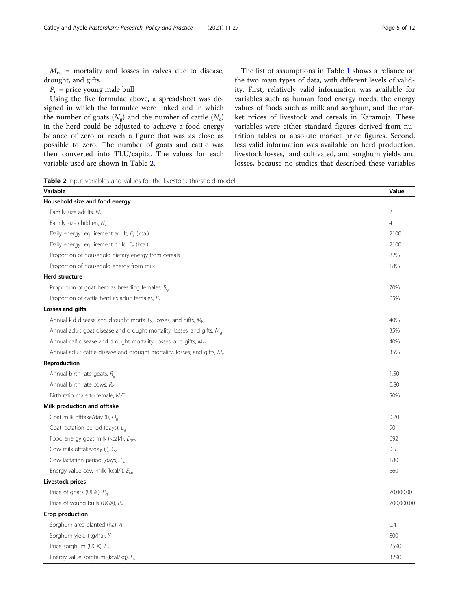<span id="page-4-0"></span> $M_{\text{ca}}$  = mortality and losses in calves due to disease, drought, and gifts

 $P_c$  = price young male bull

Using the five formulae above, a spreadsheet was designed in which the formulae were linked and in which the number of goats  $(N_g)$  and the number of cattle  $(N_c)$ in the herd could be adjusted to achieve a food energy balance of zero or reach a figure that was as close as possible to zero. The number of goats and cattle was then converted into TLU/capita. The values for each variable used are shown in Table 2.

The list of assumptions in Table [1](#page-3-0) shows a reliance on the two main types of data, with different levels of validity. First, relatively valid information was available for variables such as human food energy needs, the energy values of foods such as milk and sorghum, and the market prices of livestock and cereals in Karamoja. These variables were either standard figures derived from nutrition tables or absolute market price figures. Second, less valid information was available on herd production, livestock losses, land cultivated, and sorghum yields and losses, because no studies that described these variables

Table 2 Input variables and values for the livestock threshold model

| Variable                                                                      | Value          |
|-------------------------------------------------------------------------------|----------------|
| Household size and food energy                                                |                |
| Family size adults, $N_a$                                                     | $\overline{2}$ |
| Family size children, $N_c$                                                   | $\overline{4}$ |
| Daily energy requirement adult, E <sub>a</sub> (kcal)                         | 2100           |
| Daily energy requirement child, $E_c$ (kcal)                                  | 2100           |
| Proportion of household dietary energy from cereals                           | 82%            |
| Proportion of household energy from milk                                      | 18%            |
| <b>Herd structure</b>                                                         |                |
| Proportion of goat herd as breeding females, $B_{\alpha}$                     | 70%            |
| Proportion of cattle herd as adult females, $B_c$                             | 65%            |
| Losses and gifts                                                              |                |
| Annual kid disease and drought mortality, losses, and gifts, $M_k$            | 40%            |
| Annual adult goat disease and drought mortality, losses, and gifts, $M_a$     | 35%            |
| Annual calf disease and drought mortality, losses, and gifts, M <sub>ca</sub> | 40%            |
| Annual adult cattle disease and drought mortality, losses, and gifts, $M_c$   | 35%            |
| Reproduction                                                                  |                |
| Annual birth rate goats, $R_{q}$                                              | 1.50           |
| Annual birth rate cows, $R_c$                                                 | 0.80           |
| Birth ratio male to female, M/F                                               | 50%            |
| Milk production and offtake                                                   |                |
| Goat milk offtake/day (l), O <sub>q</sub>                                     | 0.20           |
| Goat lactation period (days), $L_{\alpha}$                                    | 90             |
| Food energy goat milk (kcal/l), E <sub>qm</sub>                               | 692            |
| Cow milk offtake/day (I), $O_c$                                               | 0.5            |
| Cow lactation period (days), $L_c$                                            | 180            |
| Energy value cow milk (kcal/l), $E_{cm}$                                      | 660            |
| Livestock prices                                                              |                |
| Price of goats (UGX), $P_q$                                                   | 70,000.00      |
| Price of young bulls (UGX), P <sub>c</sub>                                    | 700,000.00     |
| Crop production                                                               |                |
| Sorghum area planted (ha), A                                                  | 0.4            |
| Sorghum yield (kg/ha), Y                                                      | 800            |
| Price sorghum (UGX), $P_s$                                                    | 2590           |
| Energy value sorghum (kcal/kg), E <sub>s</sub>                                | 3290           |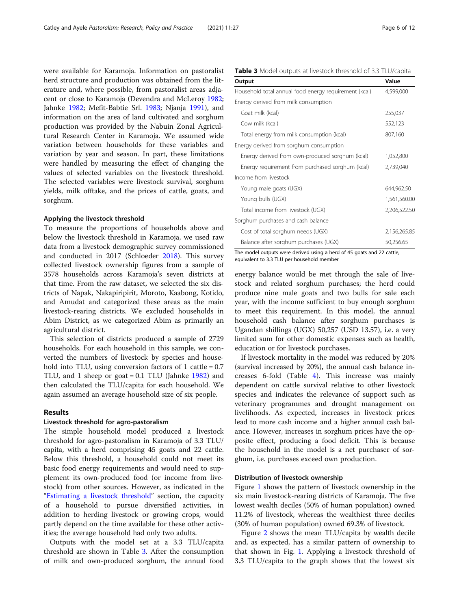were available for Karamoja. Information on pastoralist herd structure and production was obtained from the literature and, where possible, from pastoralist areas adjacent or close to Karamoja (Devendra and McLeroy [1982](#page-10-0); Jahnke [1982](#page-10-0); Mefit-Babtie Srl. [1983](#page-11-0); Njanja [1991\)](#page-11-0), and information on the area of land cultivated and sorghum production was provided by the Nabuin Zonal Agricultural Research Center in Karamoja. We assumed wide variation between households for these variables and variation by year and season. In part, these limitations were handled by measuring the effect of changing the values of selected variables on the livestock threshold. The selected variables were livestock survival, sorghum yields, milk offtake, and the prices of cattle, goats, and sorghum.

#### Applying the livestock threshold

To measure the proportions of households above and below the livestock threshold in Karamoja, we used raw data from a livestock demographic survey commissioned and conducted in 2017 (Schloeder [2018\)](#page-11-0). This survey collected livestock ownership figures from a sample of 3578 households across Karamoja's seven districts at that time. From the raw dataset, we selected the six districts of Napak, Nakapiripirit, Moroto, Kaabong, Kotido, and Amudat and categorized these areas as the main livestock-rearing districts. We excluded households in Abim District, as we categorized Abim as primarily an agricultural district.

This selection of districts produced a sample of 2729 households. For each household in this sample, we converted the numbers of livestock by species and household into TLU, using conversion factors of 1 cattle =  $0.7$ TLU, and 1 sheep or goat = 0.1 TLU (Jahnke [1982\)](#page-10-0) and then calculated the TLU/capita for each household. We again assumed an average household size of six people.

# Results

#### Livestock threshold for agro-pastoralism

The simple household model produced a livestock threshold for agro-pastoralism in Karamoja of 3.3 TLU/ capita, with a herd comprising 45 goats and 22 cattle. Below this threshold, a household could not meet its basic food energy requirements and would need to supplement its own-produced food (or income from livestock) from other sources. However, as indicated in the "[Estimating a livestock threshold](#page-2-0)" section, the capacity of a household to pursue diversified activities, in addition to herding livestock or growing crops, would partly depend on the time available for these other activities; the average household had only two adults.

Outputs with the model set at a 3.3 TLU/capita threshold are shown in Table 3. After the consumption of milk and own-produced sorghum, the annual food

| Table 3 Model outputs at livestock threshold of 3.3 TLU/capita |  |
|----------------------------------------------------------------|--|
|----------------------------------------------------------------|--|

| Output                                                | Value        |
|-------------------------------------------------------|--------------|
| Household total annual food energy requirement (kcal) | 4,599,000    |
| Energy derived from milk consumption                  |              |
| Goat milk (kcal)                                      | 255,037      |
| Cow milk (kcal)                                       | 552,123      |
| Total energy from milk consumption (kcal)             | 807,160      |
| Energy derived from sorghum consumption               |              |
| Energy derived from own-produced sorghum (kcal)       | 1,052,800    |
| Energy requirement from purchased sorghum (kcal)      | 2,739,040    |
| Income from livestock                                 |              |
| Young male goats (UGX)                                | 644,962.50   |
| Young bulls (UGX)                                     | 1,561,560.00 |
| Total income from livestock (UGX)                     | 2,206,522.50 |
| Sorghum purchases and cash balance                    |              |
| Cost of total sorghum needs (UGX)                     | 2,156,265.85 |
| Balance after sorghum purchases (UGX)                 | 50,256.65    |

The model outputs were derived using a herd of 45 goats and 22 cattle, equivalent to 3.3 TLU per household member

energy balance would be met through the sale of livestock and related sorghum purchases; the herd could produce nine male goats and two bulls for sale each year, with the income sufficient to buy enough sorghum to meet this requirement. In this model, the annual household cash balance after sorghum purchases is Ugandan shillings (UGX) 50,257 (USD 13.57), i.e. a very limited sum for other domestic expenses such as health, education or for livestock purchases.

If livestock mortality in the model was reduced by 20% (survival increased by 20%), the annual cash balance increases 6-fold (Table [4\)](#page-6-0). This increase was mainly dependent on cattle survival relative to other livestock species and indicates the relevance of support such as veterinary programmes and drought management on livelihoods. As expected, increases in livestock prices lead to more cash income and a higher annual cash balance. However, increases in sorghum prices have the opposite effect, producing a food deficit. This is because the household in the model is a net purchaser of sorghum, i.e. purchases exceed own production.

# Distribution of livestock ownership

Figure [1](#page-6-0) shows the pattern of livestock ownership in the six main livestock-rearing districts of Karamoja. The five lowest wealth deciles (50% of human population) owned 11.2% of livestock, whereas the wealthiest three deciles (30% of human population) owned 69.3% of livestock.

Figure [2](#page-7-0) shows the mean TLU/capita by wealth decile and, as expected, has a similar pattern of ownership to that shown in Fig. [1.](#page-6-0) Applying a livestock threshold of 3.3 TLU/capita to the graph shows that the lowest six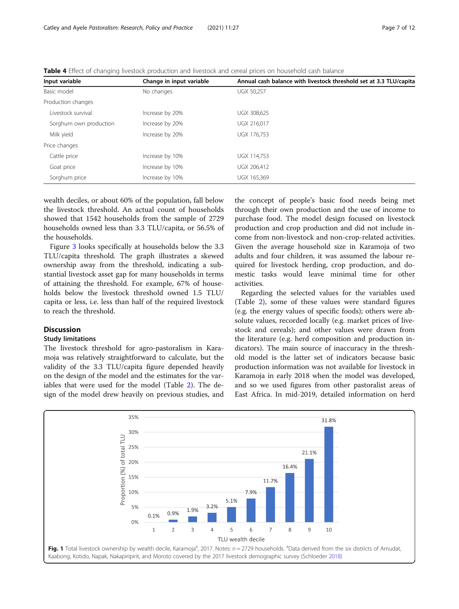<span id="page-6-0"></span>

| Table 4 Effect of changing livestock production and livestock and cereal prices on household cash balance |  |
|-----------------------------------------------------------------------------------------------------------|--|
|-----------------------------------------------------------------------------------------------------------|--|

| Input variable         | Change in input variable | Annual cash balance with livestock threshold set at 3.3 TLU/capita |
|------------------------|--------------------------|--------------------------------------------------------------------|
| Basic model            | No changes               | <b>UGX 50,257</b>                                                  |
| Production changes     |                          |                                                                    |
| Livestock survival     | Increase by 20%          | UGX 308.625                                                        |
| Sorghum own production | Increase by 20%          | UGX 216.017                                                        |
| Milk yield             | Increase by 20%          | UGX 176.753                                                        |
| Price changes          |                          |                                                                    |
| Cattle price           | Increase by 10%          | UGX 114,753                                                        |
| Goat price             | Increase by 10%          | UGX 206,412                                                        |
| Sorghum price          | Increase by 10%          | UGX 165,369                                                        |

wealth deciles, or about 60% of the population, fall below the livestock threshold. An actual count of households showed that 1542 households from the sample of 2729 households owned less than 3.3 TLU/capita, or 56.5% of the households.

Figure [3](#page-7-0) looks specifically at households below the 3.3 TLU/capita threshold. The graph illustrates a skewed ownership away from the threshold, indicating a substantial livestock asset gap for many households in terms of attaining the threshold. For example, 67% of households below the livestock threshold owned 1.5 TLU/ capita or less, i.e. less than half of the required livestock to reach the threshold.

# Discussion

#### Study limitations

The livestock threshold for agro-pastoralism in Karamoja was relatively straightforward to calculate, but the validity of the 3.3 TLU/capita figure depended heavily on the design of the model and the estimates for the variables that were used for the model (Table [2\)](#page-4-0). The design of the model drew heavily on previous studies, and

the concept of people's basic food needs being met through their own production and the use of income to purchase food. The model design focused on livestock production and crop production and did not include income from non-livestock and non-crop-related activities. Given the average household size in Karamoja of two adults and four children, it was assumed the labour required for livestock herding, crop production, and domestic tasks would leave minimal time for other activities.

Regarding the selected values for the variables used (Table [2\)](#page-4-0), some of these values were standard figures (e.g. the energy values of specific foods); others were absolute values, recorded locally (e.g. market prices of livestock and cereals); and other values were drawn from the literature (e.g. herd composition and production indicators). The main source of inaccuracy in the threshold model is the latter set of indicators because basic production information was not available for livestock in Karamoja in early 2018 when the model was developed, and so we used figures from other pastoralist areas of East Africa. In mid-2019, detailed information on herd

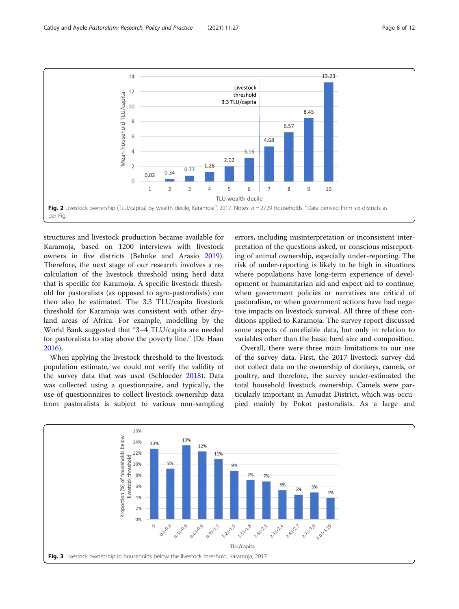<span id="page-7-0"></span>

structures and livestock production became available for Karamoja, based on 1200 interviews with livestock owners in five districts (Behnke and Arasio [2019](#page-10-0)). Therefore, the next stage of our research involves a recalculation of the livestock threshold using herd data that is specific for Karamoja. A specific livestock threshold for pastoralists (as opposed to agro-pastoralists) can then also be estimated. The 3.3 TLU/capita livestock threshold for Karamoja was consistent with other dryland areas of Africa. For example, modelling by the World Bank suggested that "3–4 TLU/capita are needed for pastoralists to stay above the poverty line." (De Haan [2016](#page-10-0)).

When applying the livestock threshold to the livestock population estimate, we could not verify the validity of the survey data that was used (Schloeder [2018](#page-11-0)). Data was collected using a questionnaire, and typically, the use of questionnaires to collect livestock ownership data from pastoralists is subject to various non-sampling

errors, including misinterpretation or inconsistent interpretation of the questions asked, or conscious misreporting of animal ownership, especially under-reporting. The risk of under-reporting is likely to be high in situations where populations have long-term experience of development or humanitarian aid and expect aid to continue, when government policies or narratives are critical of pastoralism, or when government actions have had negative impacts on livestock survival. All three of these conditions applied to Karamoja. The survey report discussed some aspects of unreliable data, but only in relation to variables other than the basic herd size and composition.

Overall, there were three main limitations to our use of the survey data. First, the 2017 livestock survey did not collect data on the ownership of donkeys, camels, or poultry, and therefore, the survey under-estimated the total household livestock ownership. Camels were particularly important in Amudat District, which was occupied mainly by Pokot pastoralists. As a large and

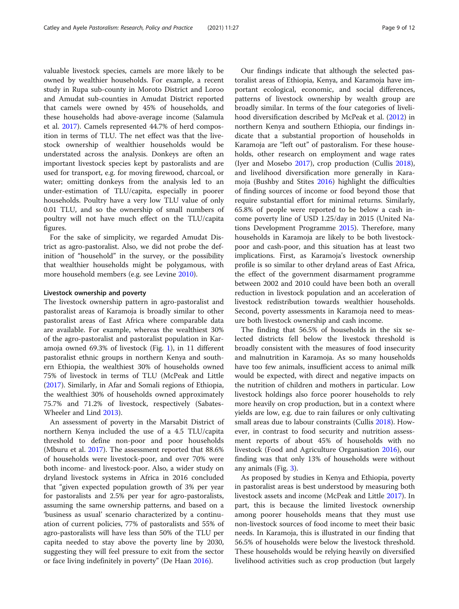valuable livestock species, camels are more likely to be owned by wealthier households. For example, a recent study in Rupa sub-county in Moroto District and Loroo and Amudat sub-counties in Amudat District reported that camels were owned by 45% of households, and these households had above-average income (Salamula et al. [2017](#page-11-0)). Camels represented 44.7% of herd composition in terms of TLU. The net effect was that the livestock ownership of wealthier households would be understated across the analysis. Donkeys are often an important livestock species kept by pastoralists and are used for transport, e.g. for moving firewood, charcoal, or water; omitting donkeys from the analysis led to an under-estimation of TLU/capita, especially in poorer households. Poultry have a very low TLU value of only 0.01 TLU, and so the ownership of small numbers of poultry will not have much effect on the TLU/capita figures.

For the sake of simplicity, we regarded Amudat District as agro-pastoralist. Also, we did not probe the definition of "household" in the survey, or the possibility that wealthier households might be polygamous, with more household members (e.g. see Levine [2010](#page-10-0)).

#### Livestock ownership and poverty

The livestock ownership pattern in agro-pastoralist and pastoralist areas of Karamoja is broadly similar to other pastoralist areas of East Africa where comparable data are available. For example, whereas the wealthiest 30% of the agro-pastoralist and pastoralist population in Karamoja owned 69.3% of livestock (Fig. [1](#page-6-0)), in 11 different pastoralist ethnic groups in northern Kenya and southern Ethiopia, the wealthiest 30% of households owned 75% of livestock in terms of TLU (McPeak and Little ([2017](#page-11-0)). Similarly, in Afar and Somali regions of Ethiopia, the wealthiest 30% of households owned approximately 75.7% and 71.2% of livestock, respectively (Sabates-Wheeler and Lind [2013\)](#page-11-0).

An assessment of poverty in the Marsabit District of northern Kenya included the use of a 4.5 TLU/capita threshold to define non-poor and poor households (Mburu et al. [2017\)](#page-11-0). The assessment reported that 88.6% of households were livestock-poor, and over 70% were both income- and livestock-poor. Also, a wider study on dryland livestock systems in Africa in 2016 concluded that "given expected population growth of 3% per year for pastoralists and 2.5% per year for agro-pastoralists, assuming the same ownership patterns, and based on a 'business as usual' scenario characterized by a continuation of current policies, 77% of pastoralists and 55% of agro-pastoralists will have less than 50% of the TLU per capita needed to stay above the poverty line by 2030, suggesting they will feel pressure to exit from the sector or face living indefinitely in poverty" (De Haan [2016](#page-10-0)).

Our findings indicate that although the selected pastoralist areas of Ethiopia, Kenya, and Karamoja have important ecological, economic, and social differences, patterns of livestock ownership by wealth group are broadly similar. In terms of the four categories of livelihood diversification described by McPeak et al. ([2012](#page-11-0)) in northern Kenya and southern Ethiopia, our findings indicate that a substantial proportion of households in Karamoja are "left out" of pastoralism. For these households, other research on employment and wage rates (Iyer and Mosebo [2017\)](#page-10-0), crop production (Cullis [2018](#page-10-0)), and livelihood diversification more generally in Karamoja (Bushby and Stites [2016](#page-10-0)) highlight the difficulties of finding sources of income or food beyond those that require substantial effort for minimal returns. Similarly, 65.8% of people were reported to be below a cash income poverty line of USD 1.25/day in 2015 (United Nations Development Programme [2015\)](#page-11-0). Therefore, many households in Karamoja are likely to be both livestockpoor and cash-poor, and this situation has at least two implications. First, as Karamoja's livestock ownership profile is so similar to other dryland areas of East Africa, the effect of the government disarmament programme between 2002 and 2010 could have been both an overall reduction in livestock population and an acceleration of livestock redistribution towards wealthier households. Second, poverty assessments in Karamoja need to measure both livestock ownership and cash income.

The finding that 56.5% of households in the six selected districts fell below the livestock threshold is broadly consistent with the measures of food insecurity and malnutrition in Karamoja. As so many households have too few animals, insufficient access to animal milk would be expected, with direct and negative impacts on the nutrition of children and mothers in particular. Low livestock holdings also force poorer households to rely more heavily on crop production, but in a context where yields are low, e.g. due to rain failures or only cultivating small areas due to labour constraints (Cullis [2018](#page-10-0)). However, in contrast to food security and nutrition assessment reports of about 45% of households with no livestock (Food and Agriculture Organisation [2016\)](#page-10-0), our finding was that only 13% of households were without any animals (Fig. [3\)](#page-7-0).

As proposed by studies in Kenya and Ethiopia, poverty in pastoralist areas is best understood by measuring both livestock assets and income (McPeak and Little [2017\)](#page-11-0). In part, this is because the limited livestock ownership among poorer households means that they must use non-livestock sources of food income to meet their basic needs. In Karamoja, this is illustrated in our finding that 56.5% of households were below the livestock threshold. These households would be relying heavily on diversified livelihood activities such as crop production (but largely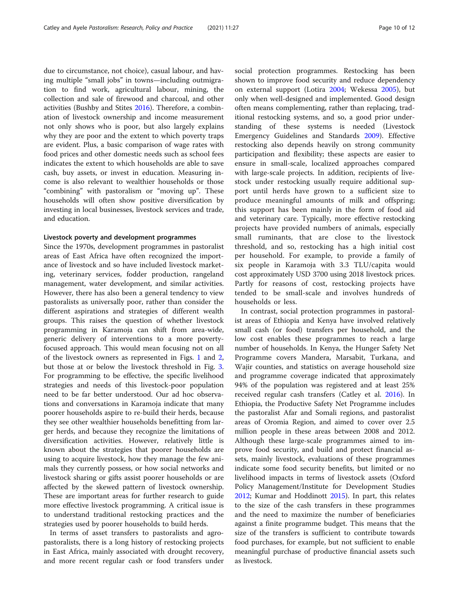due to circumstance, not choice), casual labour, and having multiple "small jobs" in towns—including outmigration to find work, agricultural labour, mining, the collection and sale of firewood and charcoal, and other activities (Bushby and Stites [2016](#page-10-0)). Therefore, a combination of livestock ownership and income measurement not only shows who is poor, but also largely explains why they are poor and the extent to which poverty traps are evident. Plus, a basic comparison of wage rates with food prices and other domestic needs such as school fees indicates the extent to which households are able to save cash, buy assets, or invest in education. Measuring income is also relevant to wealthier households or those "combining" with pastoralism or "moving up". These households will often show positive diversification by investing in local businesses, livestock services and trade, and education.

# Livestock poverty and development programmes

Since the 1970s, development programmes in pastoralist areas of East Africa have often recognized the importance of livestock and so have included livestock marketing, veterinary services, fodder production, rangeland management, water development, and similar activities. However, there has also been a general tendency to view pastoralists as universally poor, rather than consider the different aspirations and strategies of different wealth groups. This raises the question of whether livestock programming in Karamoja can shift from area-wide, generic delivery of interventions to a more povertyfocused approach. This would mean focusing not on all of the livestock owners as represented in Figs. [1](#page-6-0) and [2](#page-7-0), but those at or below the livestock threshold in Fig. [3](#page-7-0). For programming to be effective, the specific livelihood strategies and needs of this livestock-poor population need to be far better understood. Our ad hoc observations and conversations in Karamoja indicate that many poorer households aspire to re-build their herds, because they see other wealthier households benefitting from larger herds, and because they recognize the limitations of diversification activities. However, relatively little is known about the strategies that poorer households are using to acquire livestock, how they manage the few animals they currently possess, or how social networks and livestock sharing or gifts assist poorer households or are affected by the skewed pattern of livestock ownership. These are important areas for further research to guide more effective livestock programming. A critical issue is to understand traditional restocking practices and the strategies used by poorer households to build herds.

In terms of asset transfers to pastoralists and agropastoralists, there is a long history of restocking projects in East Africa, mainly associated with drought recovery, and more recent regular cash or food transfers under social protection programmes. Restocking has been shown to improve food security and reduce dependency on external support (Lotira [2004](#page-11-0); Wekessa [2005\)](#page-11-0), but only when well-designed and implemented. Good design often means complementing, rather than replacing, traditional restocking systems, and so, a good prior understanding of these systems is needed (Livestock Emergency Guidelines and Standards [2009\)](#page-11-0). Effective restocking also depends heavily on strong community participation and flexibility; these aspects are easier to ensure in small-scale, localized approaches compared with large-scale projects. In addition, recipients of livestock under restocking usually require additional support until herds have grown to a sufficient size to produce meaningful amounts of milk and offspring; this support has been mainly in the form of food aid and veterinary care. Typically, more effective restocking projects have provided numbers of animals, especially small ruminants, that are close to the livestock threshold, and so, restocking has a high initial cost per household. For example, to provide a family of six people in Karamoja with 3.3 TLU/capita would cost approximately USD 3700 using 2018 livestock prices. Partly for reasons of cost, restocking projects have tended to be small-scale and involves hundreds of households or less.

In contrast, social protection programmes in pastoralist areas of Ethiopia and Kenya have involved relatively small cash (or food) transfers per household, and the low cost enables these programmes to reach a large number of households. In Kenya, the Hunger Safety Net Programme covers Mandera, Marsabit, Turkana, and Wajir counties, and statistics on average household size and programme coverage indicated that approximately 94% of the population was registered and at least 25% received regular cash transfers (Catley et al. [2016\)](#page-10-0). In Ethiopia, the Productive Safety Net Programme includes the pastoralist Afar and Somali regions, and pastoralist areas of Oromia Region, and aimed to cover over 2.5 million people in these areas between 2008 and 2012. Although these large-scale programmes aimed to improve food security, and build and protect financial assets, mainly livestock, evaluations of these programmes indicate some food security benefits, but limited or no livelihood impacts in terms of livestock assets (Oxford Policy Management/Institute for Development Studies [2012](#page-11-0); Kumar and Hoddinott [2015](#page-10-0)). In part, this relates to the size of the cash transfers in these programmes and the need to maximize the number of beneficiaries against a finite programme budget. This means that the size of the transfers is sufficient to contribute towards food purchases, for example, but not sufficient to enable meaningful purchase of productive financial assets such as livestock.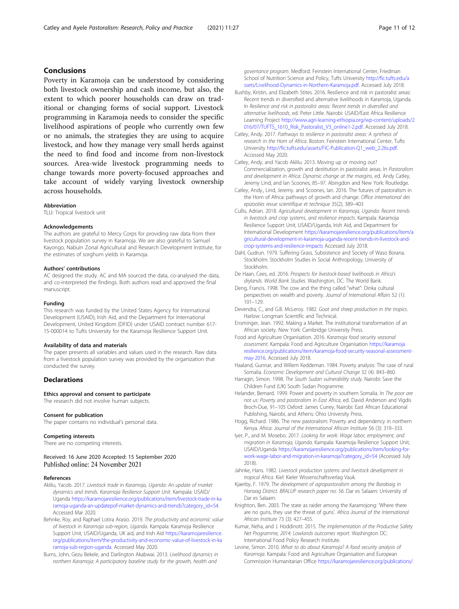# <span id="page-10-0"></span>Conclusions

Poverty in Karamoja can be understood by considering both livestock ownership and cash income, but also, the extent to which poorer households can draw on traditional or changing forms of social support. Livestock programming in Karamoja needs to consider the specific livelihood aspirations of people who currently own few or no animals, the strategies they are using to acquire livestock, and how they manage very small herds against the need to find food and income from non-livestock sources. Area-wide livestock programming needs to change towards more poverty-focused approaches and take account of widely varying livestock ownership across households.

#### Abbreviation

TLU: Tropical livestock unit

#### Acknowledgements

The authors are grateful to Mercy Corps for providing raw data from their livestock population survey in Karamoja. We are also grateful to Samuel Kayongo, Nabuin Zonal Agricultural and Research Development Institute, for the estimates of sorghum yields in Karamoja.

#### Authors' contributions

AC designed the study. AC and MA sourced the data, co-analysed the data, and co-interpreted the findings. Both authors read and approved the final manuscript.

#### Funding

This research was funded by the United States Agency for International Development (USAID), Irish Aid, and the Department for International Development, United Kingdom (DFID) under USAID contract number 617- 15-000014 to Tufts University for the Karamoja Resilience Support Unit.

#### Availability of data and materials

The paper presents all variables and values used in the research. Raw data from a livestock population survey was provided by the organization that conducted the survey.

## Declarations

#### Ethics approval and consent to participate

The research did not involve human subjects.

#### Consent for publication

The paper contains no individual's personal data.

#### Competing interests

There are no competing interests.

#### Received: 16 June 2020 Accepted: 15 September 2020 Published online: 24 November 2021

#### References

- Aklilu, Yacob. 2017. Livestock trade in Karamoja, Uganda: An update of market dynamics and trends. Karamoja Resilience Support Unit. Kampala: USAID/ Uganda [https://karamojaresilience.org/publications/item/livestock-trade-in-ka](https://karamojaresilience.org/publications/item/livestock-trade-in-karamoja-uganda-an-updatepof-market-dynamics-and-trends?category_id=54) [ramoja-uganda-an-updatepof-market-dynamics-and-trends?category\\_id=54.](https://karamojaresilience.org/publications/item/livestock-trade-in-karamoja-uganda-an-updatepof-market-dynamics-and-trends?category_id=54) Accessed Mar 2020.
- Behnke, Roy, and Raphael Lotira Arasio. 2019. The productivity and economic value of livestock in Karamoja sub-region, Uganda. Kampala: Karamoja Resilience Support Unit, USAID/Uganda, UK aid, and Irish Aid [https://karamojaresilience.](https://karamojaresilience.org/publications/item/the-productivity-and-economic-value-of-livestock-in-karamoja-sub-region-uganda) [org/publications/item/the-productivity-and-economic-value-of-livestock-in-ka](https://karamojaresilience.org/publications/item/the-productivity-and-economic-value-of-livestock-in-karamoja-sub-region-uganda) [ramoja-sub-region-uganda.](https://karamojaresilience.org/publications/item/the-productivity-and-economic-value-of-livestock-in-karamoja-sub-region-uganda) Accessed May 2020.
- Burns, John, Gezu Bekele, and Darlington Akabwai. 2013. Livelihood dynamics in northern Karamoja: A participatory baseline study for the growth, health and

governance program. Medford: Feinstein International Center, Friedman School of Nutrition Science and Policy, Tufts University [http://fic.tufts.edu/a](http://fic.tufts.edu/assets/Livelihood-Dynamics-in-Northern-Karamoja.pdf) [ssets/Livelihood-Dynamics-in-Northern-Karamoja.pdf.](http://fic.tufts.edu/assets/Livelihood-Dynamics-in-Northern-Karamoja.pdf) Accessed July 2018.

- Bushby, Kristin, and Elizabeth Stites. 2016. Resilience and risk in pastoralist areas: Recent trends in diversified and alternative livelihoods in Karamoja, Uganda. In Resilience and risk in pastoralist areas: Recent trends in diversified and alternative livelihoods, ed. Peter Little. Nairobi: USAID/East Africa Resilience Learning Project [http://www.agri-learning-ethiopia.org/wp-content/uploads/2](http://www.agri-learning-ethiopia.org/wp-content/uploads/2016/07/TUFTS_1610_Risk_Pastoralist_V3_online1-2.pdf) [016/07/TUFTS\\_1610\\_Risk\\_Pastoralist\\_V3\\_online1-2.pdf.](http://www.agri-learning-ethiopia.org/wp-content/uploads/2016/07/TUFTS_1610_Risk_Pastoralist_V3_online1-2.pdf) Accessed July 2018.
- Catley, Andy. 2017. Pathways to resilience in pastoralist areas: A synthesis of research in the Horn of Africa. Boston: Feinstein International Center, Tufts University [http://fic.tufts.edu/assets/FIC-Publication-Q1\\_web\\_2.26s.pdf](http://fic.tufts.edu/assets/FIC-Publication-Q1_web_2.26s.pdf). Accessed May 2020.
- Catley, Andy, and Yacob Aklilu. 2013. Moving up or moving out? Commercialization, growth and destitution in pastoralist areas. In Pastoralism and development in Africa: Dynamic change at the margins, ed. Andy Catley, Jeremy Lind, and Ian Scoones, 85–97. Abingdon and New York: Routledge.
- Catley, Andy., Lind, Jeremy. and Scoones, Ian. 2016. The futures of pastoralism in the Horn of Africa: pathways of growth and change. Office international des epizooties revue scientifique et technique 35(2), 389–403
- Cullis, Adrian. 2018. Agricultural development in Karamoja, Uganda: Recent trends in livestock and crop systems, and resilience impacts. Kampala: Karamoja Resilience Support Unit, USAID/Uganda, Irish Aid, and Department for International Development [https://karamojaresilience.org/publications/item/a](https://karamojaresilience.org/publications/item/agricultural-development-in-karamoja-uganda-recent-trends-in-livestock-and-crop-systems-and-resilience-impacts) [gricultural-development-in-karamoja-uganda-recent-trends-in-livestock-and](https://karamojaresilience.org/publications/item/agricultural-development-in-karamoja-uganda-recent-trends-in-livestock-and-crop-systems-and-resilience-impacts)[crop-systems-and-resilience-impacts](https://karamojaresilience.org/publications/item/agricultural-development-in-karamoja-uganda-recent-trends-in-livestock-and-crop-systems-and-resilience-impacts) Accessed July 2018.
- Dahl, Gudrun. 1979. Suffering Grass. Subsistence and Society of Waso Borana. Stockholm: Stockholm Studies in Social Anthropology, University of Stockholm.
- De Haan, Cees, ed. 2016. Prospects for livestock-based livelihoods in Africa's drylands. World Bank Studies. Washington, DC: The World Bank.
- Deng, Francis. 1998. The cow and the thing called "what": Dinka cultural perspectives on wealth and poverty. Journal of International Affairs 52 (1): 101–129.
- Devendra, C., and G.B. McLeroy. 1982. Goat and sheep production in the tropics. Harlow: Longman Scientific and Technical.
- Ensminger, Jean. 1992. Making a Market. The institutional transformation of an African society. New York: Cambridge University Press.
- Food and Agriculture Organisation. 2016. Karamoja food security seasonal assessment. Kampala: Food and Agriculture Organisation [https://karamoja](https://karamojaresilience.org/publications/item/karamoja-food-security-seasonal-assessment-may-2016) [resilience.org/publications/item/karamoja-food-security-seasonal-assessment](https://karamojaresilience.org/publications/item/karamoja-food-security-seasonal-assessment-may-2016)[may-2016.](https://karamojaresilience.org/publications/item/karamoja-food-security-seasonal-assessment-may-2016) Accessed July 2018.
- Haaland, Gunnar, and Willem Keddeman. 1984. Poverty analysis: The case of rural Somalia. Economic Development and Cultural Change 32 (4): 843–860.
- Harragin, Simon. 1998. The South Sudan vulnerability study. Nairobi: Save the Children Fund (UK) South Sudan Programme.
- Helander, Bernard. 1999. Power and poverty in southern Somalia. In The poor are not us: Poverty and pastoralism in East Africa, ed. David Anderson and Vigdis Broch-Due, 91–105 Oxford: James Currey, Nairobi: East African Educational Publishing, Nairobi, and Athens: Ohio University Press.
- Hogg, Richard. 1986. The new pastoralism: Poverty and dependency in northern Kenya. Africa: Journal of the International African Institute 56 (3): 319–333.
- Iyer, P., and M. Mosebo. 2017. Looking for work: Wage labor, employment, and migration in Karamoja, Uganda. Kampala: Karamoja Resilience Support Unit, USAID/Uganda [https://karamojaresilience.org/publications/item/looking-for](https://karamojaresilience.org/publications/item/looking-for-work-wage-labor-and-migration-in-karamoja?category_id=54)[work-wage-labor-and-migration-in-karamoja?category\\_id=54](https://karamojaresilience.org/publications/item/looking-for-work-wage-labor-and-migration-in-karamoja?category_id=54) (Accessed July 2018).
- Jahnke, Hans. 1982. Livestock production systems and livestock development in tropical Africa. Kiel: Kieler Wissenschaftsverlag Vauk.
- Kjaerby, F. 1979. The development of agropastoralism among the Barabaig in Hanaag District. BRALUP research paper no. 56. Dar es Salaam: University of Dar es Salaam.
- Knighton, Ben. 2003. The state as raider among the Karamojong: 'Where there are no guns, they use the threat of guns'. Africa Journal of the International African Institute 73 (3): 427–455.
- Kumar, Neha, and J. Hoddinott. 2015. The implementation of the Productive Safety Net Programme, 2014: Lowlands outcomes report. Washington DC: International Food Policy Research Institute.
- Levine, Simon. 2010. What to do about Karamoja? A food security analysis of Karamoja. Kampala: Food and Agriculture Organisation and European Commission Humanitarian Office [https://karamojaresilience.org/publications/](https://karamojaresilience.org/publications/item/what-to-do-about-karamoja-why-pastoralism-is-not-the-problem-but-the-solution-a-food-security-analysis-of-karamoja)